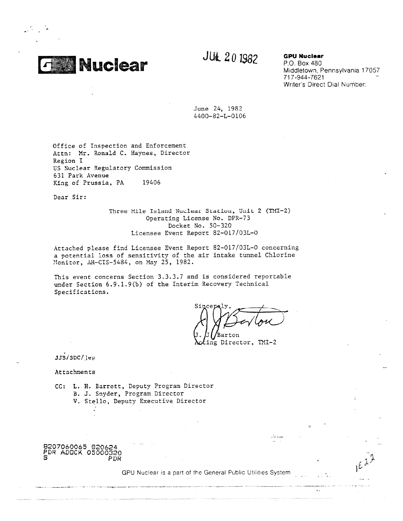

# JU<sub>k</sub> 201982 **GPU Nuclear**

P.O. Box 480 Middletown, Pennsylvania 17057 717-944-7621 - Writer's Direct Dial Number:

June 24, 1982 4400-82-L-0106

Office of Inspection and Enforcement Attn: Mr. Ronald C. Haynes, Director Region I US Nuclear Regulatory Commission 631 Park Avenue King of Prussia, PA 19406

Dear Sir:

Three Mile Island Nuclear Station, Unit 2 (TMI-2) Operating License No. DPR-73 Docket No. 50-320 Licensee Event Report 82-017/03L-0

Attached please find Licensee Event Report 82-017/03L-0 concerning a potential loss of sensitivity of the air intake tunnel Chlorine Monitor, AH-CIS-5484, on May 25, 1982.

This event concerns Section 3.3.3.7 and is considered reportable under Section 6.9.1.9(b) of the Interim Recovery Technical Specifications.

Barton ing Director, TMI-2

JJB/SDC/jeP

Attachments

CC: L. H. Barrett, Deputy Program Director B. J. Snyder, Program Director V. Stello, Deputy Executive Director

8207060065 820624 PDR ADOCK 05000320 S PDR<sup>?</sup>

GPU Nuclear is a part of the General Public Utilities System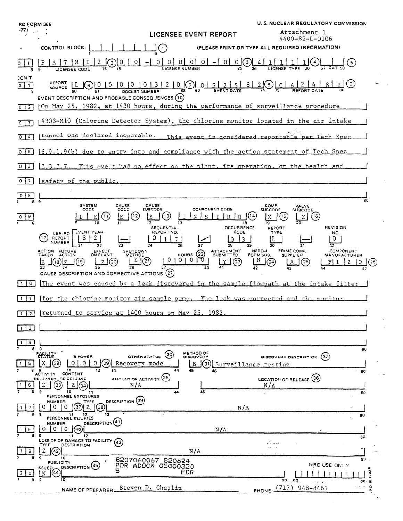| <b>RC FORM 366</b> |                                                                                                                                                                     |                                                                                              | <b>U.S. NUCLEAR REGULATORY COMMISSION</b>                                                                                                      |
|--------------------|---------------------------------------------------------------------------------------------------------------------------------------------------------------------|----------------------------------------------------------------------------------------------|------------------------------------------------------------------------------------------------------------------------------------------------|
| -77)               |                                                                                                                                                                     | LICENSEE EVENT REPORT                                                                        | Attachment 1<br>4400-82-L-0106                                                                                                                 |
|                    | CONTROL BLOCK:                                                                                                                                                      | (1)                                                                                          | (PLEASE PRINT OR TYPE ALL REQUIRED INFORMATION)                                                                                                |
|                    | M                                                                                                                                                                   | $0 0 0 0 0 - 0$<br>$\overline{0}$                                                            | (5)                                                                                                                                            |
| CON'T<br>$0$ $1$   | EVENT DESCRIPTION, AND PROBABLE CONSEQUENCES (10)                                                                                                                   | REPORT L 6 0 1 5 1 0 1 0 1 3 1 2 1 0 0 1 5 1 2 1 5 8 2 8 2 9 0 6 2<br>DOCKET NUMBER          | ( 9 )                                                                                                                                          |
| $0 \mid 2$         |                                                                                                                                                                     | On May 25, 1982, at 1430 hours, during the performance of surveillance procedure             |                                                                                                                                                |
| $\overline{0}$ 3   |                                                                                                                                                                     | 4303-M10 (Chlorine Detector System), the chlorine monitor located in the air intake          |                                                                                                                                                |
| $0 \mid 4$         | tunnel was declared inoperable.                                                                                                                                     |                                                                                              | This event is considered reportable per Tech Spec                                                                                              |
| $0$   5            |                                                                                                                                                                     | $(6.9.1.9(b)$ due to entry into and compliance with the action statement of Tech Spec        |                                                                                                                                                |
| 0(6)               | 3.3.3.7.                                                                                                                                                            | This event had no effect on the plant, its operation, or the health and                      |                                                                                                                                                |
| 017                | safety of the public.                                                                                                                                               |                                                                                              |                                                                                                                                                |
| $\overline{8}$     | 89                                                                                                                                                                  |                                                                                              | 80                                                                                                                                             |
| 9                  | CAUSE<br><b>SYSTEM</b><br>CODE<br>CODE<br>(11<br>ΙE                                                                                                                 | CAUSE<br><b>COMPONENT CODE</b><br><b>SUBCODE</b><br>12<br>18                                 | COMP.<br><b>VALVE</b><br><b>SURCODE</b><br><b>SUBCODE</b><br>(16)<br>19<br><b>REVISION</b>                                                     |
|                    | <b>EVENT YEAR</b><br>LER/RO<br>17<br>REPORT<br>NUMBER                                                                                                               | <b>OCCURRENCE</b><br>SEQUENTIAL<br>REPORT NO.<br>CODE<br>28                                  | <b>REPORT</b><br><b>TYPE</b><br>NO.<br>0<br>32                                                                                                 |
|                    | ACTION FUTURE<br>EFFECT<br>ON PLANT<br><b>SHUTDOWN</b><br>TAKEN ACTION<br><b>METHOD</b><br>Z<br>(20)<br>(19)<br>18<br>CAUSE DESCRIPTION AND CORRECTIVE ACTIONS (27) | ATTACHMENT<br>$^{HOLRS}_{0}$ (22)<br><b>SUBMITTED</b><br>O.<br>$\left( 2\right)$<br>(23)     | NPRD-4<br>PRIME COMP<br><b>COMPONENT</b><br>FORM SUB.<br><b>SUPPLIER</b><br><b>MANUFACTURER</b><br>N<br>(24)<br>(25)<br>FI 1<br>2<br>0<br>(26) |
| $\circ$            |                                                                                                                                                                     |                                                                                              | The event was caused by a leak discovered in the sample flowpath at the intake filter                                                          |
| $\mathbf{1}$       |                                                                                                                                                                     | for the chlorine monitor air sample pump. The leak was corrected and the monitor             |                                                                                                                                                |
|                    | TT <sub>2</sub> Preturned to service at 1400 hours on May 25. 1982                                                                                                  |                                                                                              |                                                                                                                                                |
| 3<br>$\mathbf{1}$  |                                                                                                                                                                     |                                                                                              |                                                                                                                                                |
| 4                  |                                                                                                                                                                     |                                                                                              |                                                                                                                                                |
| я<br>-5            | 9<br>FACILITY<br><b>APOWER</b><br>29<br>Ω<br>9<br>10<br>12<br>13                                                                                                    | METHOD OF<br>(30)<br>OTHER STATUS<br>DISCOVERY<br>Recovery mode<br>В<br>31<br>44<br>45<br>46 | 80<br>(32)<br>DISCOVERY DESCRIPTION<br>Surveillance testing<br>$-80$                                                                           |
| -6                 | CONTENT<br>ACTIVITY<br>RELEASED_OF RELEASE<br>23<br>N/A<br>10<br>-11                                                                                                | <b>AMOUNT OF ACTIVITY (35)</b><br>45                                                         | LOCATION OF RELEASE (36)<br>N/A<br>80                                                                                                          |
| -7                 | PERSONNEL EXPOSURES<br>DESCRIPTION (39)<br><b>NUMBER</b><br>TYPE<br>37<br>Z<br>(38)<br>0<br>0<br>$\Omega$                                                           | N/A                                                                                          |                                                                                                                                                |
|                    | 13<br>9<br>11<br>12<br>PERSONNEL INJURIES<br>DESCRIPTION <sup>(41)</sup><br><b>NUMBER</b>                                                                           |                                                                                              | 80                                                                                                                                             |
| 8                  | $\circ$<br>0<br>$\Omega$<br>40)<br>9<br>12<br>11<br>LOSS OF OR DAMAGE TO FACILITY<br>(43                                                                            | N/A                                                                                          | 80                                                                                                                                             |
| 9.                 | <b>DESCRIPTION</b><br>TYPE<br>z<br>(42)                                                                                                                             | N/A                                                                                          |                                                                                                                                                |
| n                  | 9<br>10<br>PUBLICITY<br>DESCRIPTION (45)<br>ISSUED,<br>44                                                                                                           | B207060067 B20624<br>PDR ADOCK 05000320<br>PDR                                               | 80<br>NRC USE ONLY                                                                                                                             |
|                    | 10<br>NAME OF PREPARER                                                                                                                                              | Steven D. Chaplin                                                                            | 68<br>69<br>$80 - 76$<br>$\circ$<br>.<br>PHONE: $(717)$<br>948-8461<br>α<br>O.                                                                 |
|                    |                                                                                                                                                                     |                                                                                              |                                                                                                                                                |